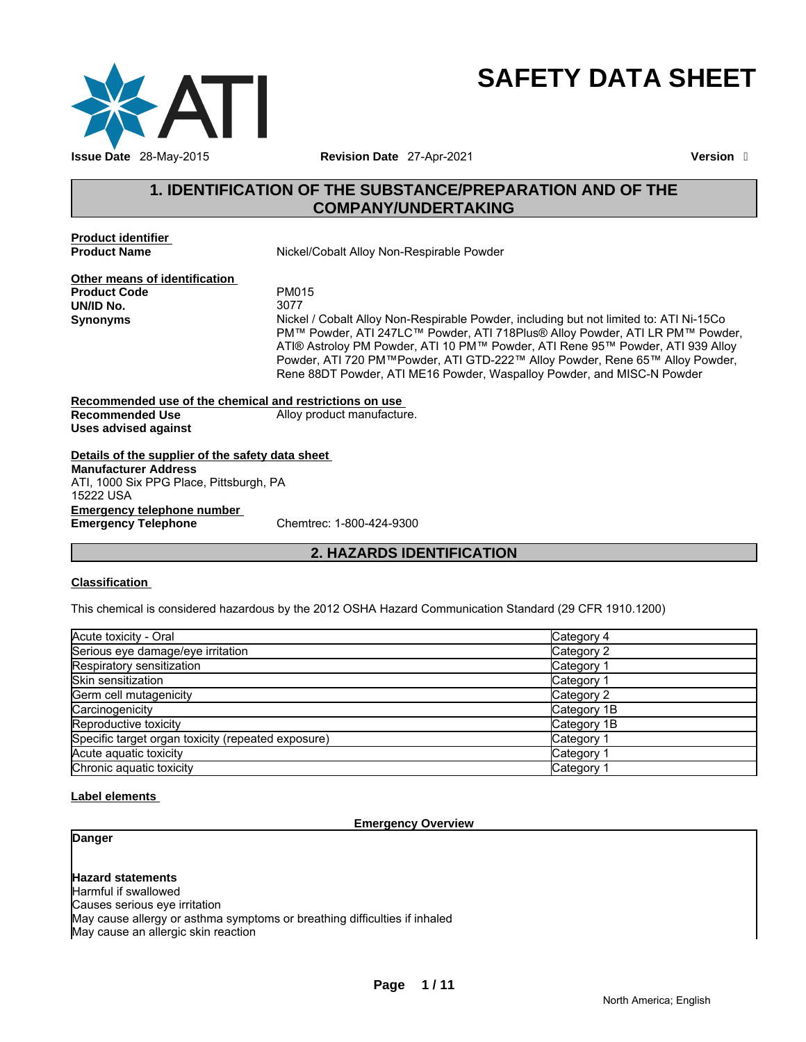

# **SAFETY DATA SHEET**

# **1. IDENTIFICATION OF THE SUBSTANCE/PREPARATION AND OF THE COMPANY/UNDERTAKING**

**Product identifier** 

**Product Name Nickel/Cobalt Alloy Non-Respirable Powder** 

**Other means of identification Product Code** PM015 **UN/ID No.** 

**Synonyms** Nickel / Cobalt Alloy Non-Respirable Powder, including but not limited to: ATI Ni-15Co PM™ Powder, ATI 247LC™ Powder, ATI 718Plus® Alloy Powder, ATI LR PM™ Powder, ATI® Astroloy PM Powder, ATI 10 PM™ Powder, ATI Rene 95™ Powder, ATI 939 Alloy Powder, ATI 720 PM™Powder, ATI GTD-222™ Alloy Powder, Rene 65™ Alloy Powder, Rene 88DT Powder, ATI ME16 Powder, Waspalloy Powder, and MISC-N Powder

**Recommended use of the chemical and restrictions on use Recommended Use** Alloy product manufacture. **Uses advised against** 

**Details of the supplier of the safety data sheet Emergency telephone number Emergency Telephone Manufacturer Address** ATI, 1000 Six PPG Place, Pittsburgh, PA 15222 USA

# **2. HAZARDS IDENTIFICATION**

#### **Classification**

This chemical is considered hazardous by the 2012 OSHA Hazard Communication Standard (29 CFR 1910.1200)

| Acute toxicity - Oral                              | Category 4            |
|----------------------------------------------------|-----------------------|
| Serious eye damage/eye irritation                  | Category 2            |
| Respiratory sensitization                          | Category 1            |
| Skin sensitization                                 | Category 1            |
| Germ cell mutagenicity                             | Category 2            |
| Carcinogenicity                                    | Category 1B           |
| Reproductive toxicity                              | Category 1B           |
| Specific target organ toxicity (repeated exposure) | Category <sup>2</sup> |
| Acute aguatic toxicity                             | Category 1            |
| Chronic aquatic toxicity                           | Category              |

#### **Label elements**

#### **Emergency Overview**

**Danger** 

**Hazard statements** Harmful if swallowed Causes serious eye irritation May cause allergy or asthma symptoms or breathing difficulties if inhaled May cause an allergic skin reaction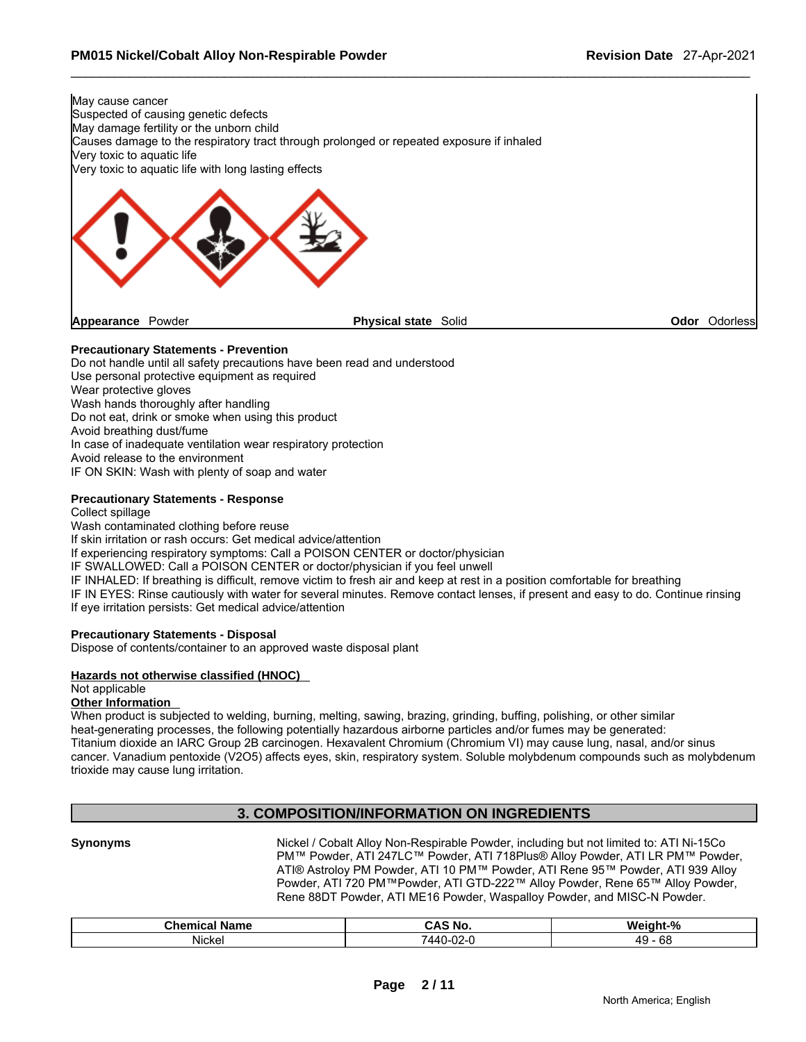

#### **Precautionary Statements - Prevention**

Do not handle until all safety precautions have been read and understood Use personal protective equipment as required Wear protective gloves Wash hands thoroughly after handling Do not eat, drink or smoke when using this product Avoid breathing dust/fume In case of inadequate ventilation wear respiratory protection Avoid release to the environment IF ON SKIN: Wash with plenty of soap and water

#### **Precautionary Statements - Response**

Collect spillage

Wash contaminated clothing before reuse If skin irritation or rash occurs: Get medical advice/attention If experiencing respiratory symptoms: Call a POISON CENTER or doctor/physician IF SWALLOWED: Call a POISON CENTER or doctor/physician if you feel unwell IF INHALED: If breathing is difficult, remove victim to fresh air and keep at rest in a position comfortable for breathing IF IN EYES: Rinse cautiously with water for several minutes. Remove contact lenses, if present and easy to do. Continue rinsing If eye irritation persists: Get medical advice/attention

#### **Precautionary Statements - Disposal**

Dispose of contents/container to an approved waste disposal plant

#### **Hazards not otherwise classified (HNOC)**

#### Not applicable

#### **Other Information**

When product is subjected to welding, burning, melting, sawing, brazing, grinding, buffing, polishing, or other similar heat-generating processes, the following potentially hazardous airborne particles and/or fumes may be generated: Titanium dioxide an IARC Group 2B carcinogen. Hexavalent Chromium (Chromium VI) may cause lung, nasal, and/or sinus cancer. Vanadium pentoxide (V2O5) affects eyes, skin, respiratory system. Soluble molybdenum compounds such as molybdenum trioxide may cause lung irritation.

### **3. COMPOSITION/INFORMATION ON INGREDIENTS**

**Synonyms** Nickel / Cobalt Alloy Non-Respirable Powder, including but not limited to: ATI Ni-15Co PM™ Powder, ATI 247LC™ Powder, ATI 718Plus® Alloy Powder, ATI LR PM™ Powder, ATI® Astroloy PM Powder, ATI 10 PM™ Powder, ATI Rene 95™ Powder, ATI 939 Alloy Powder, ATI 720 PM™Powder, ATI GTD-222™ Alloy Powder, Rene 65™ Alloy Powder, Rene 88DT Powder, ATI ME16 Powder, Waspalloy Powder, and MISC-N Powder.

| ີhom⊪<br>$\overline{\phantom{a}}$<br>лпе | $n =$<br>No. | . 07<br>w.<br>״           |
|------------------------------------------|--------------|---------------------------|
| <br>Nicke.                               | ΔР           | 68<br>$40^{\circ}$<br>. . |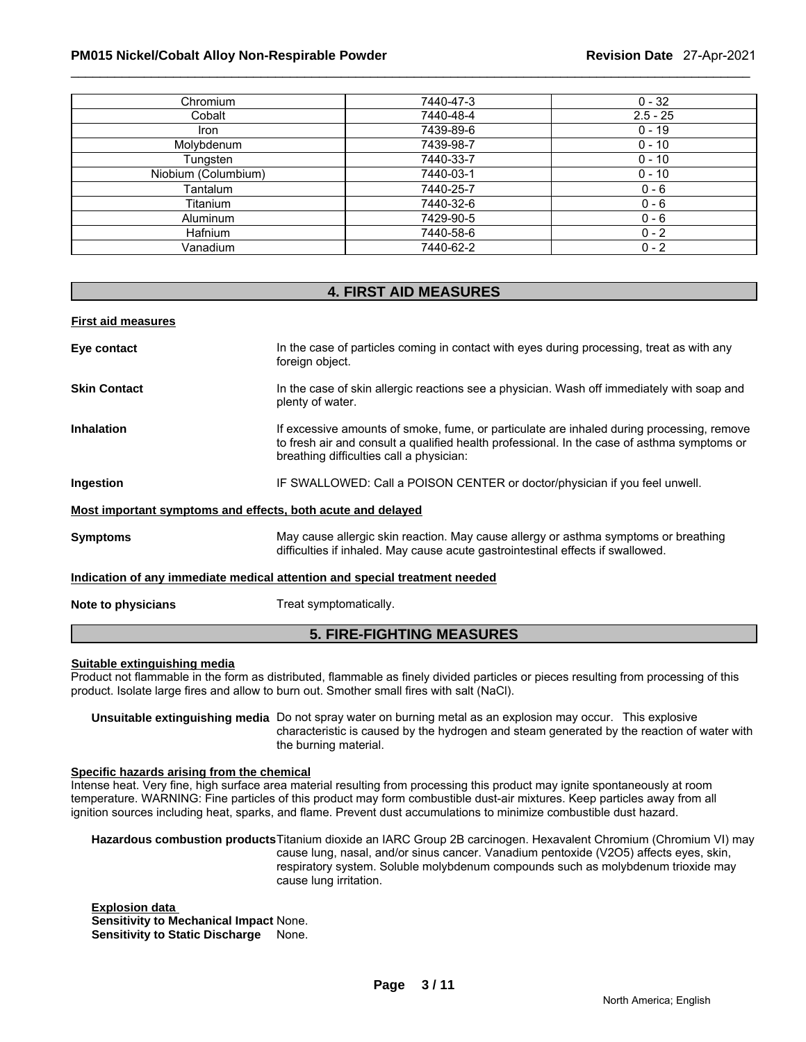#### \_\_\_\_\_\_\_\_\_\_\_\_\_\_\_\_\_\_\_\_\_\_\_\_\_\_\_\_\_\_\_\_\_\_\_\_\_\_\_\_\_\_\_\_\_\_\_\_\_\_\_\_\_\_\_\_\_\_\_\_\_\_\_\_\_\_\_\_\_\_\_\_\_\_\_\_\_\_\_\_\_\_\_\_\_\_\_\_\_\_\_\_\_ **PM015 Nickel/Cobalt Alloy Non-Respirable Powder Revision Date** 27-Apr-2021

| Chromium            | 7440-47-3 | $0 - 32$   |
|---------------------|-----------|------------|
| Cobalt              | 7440-48-4 | $2.5 - 25$ |
| Iron                | 7439-89-6 | $0 - 19$   |
| Molybdenum          | 7439-98-7 | $0 - 10$   |
| Tungsten            | 7440-33-7 | $0 - 10$   |
| Niobium (Columbium) | 7440-03-1 | $0 - 10$   |
| Tantalum            | 7440-25-7 | $0 - 6$    |
| Titanium            | 7440-32-6 | $0 - 6$    |
| <b>Aluminum</b>     | 7429-90-5 | $0 - 6$    |
| <b>Hafnium</b>      | 7440-58-6 | $0 - 2$    |
| Vanadium            | 7440-62-2 | $0 - 2$    |

### **4. FIRST AID MEASURES**

**First aid measures**

| Eye contact                                                                | In the case of particles coming in contact with eyes during processing, treat as with any<br>foreign object.                                                                                                                         |  |  |
|----------------------------------------------------------------------------|--------------------------------------------------------------------------------------------------------------------------------------------------------------------------------------------------------------------------------------|--|--|
| <b>Skin Contact</b>                                                        | In the case of skin allergic reactions see a physician. Wash off immediately with soap and<br>plenty of water.                                                                                                                       |  |  |
| <b>Inhalation</b>                                                          | If excessive amounts of smoke, fume, or particulate are inhaled during processing, remove<br>to fresh air and consult a qualified health professional. In the case of asthma symptoms or<br>breathing difficulties call a physician: |  |  |
| Ingestion                                                                  | IF SWALLOWED: Call a POISON CENTER or doctor/physician if you feel unwell.                                                                                                                                                           |  |  |
| Most important symptoms and effects, both acute and delayed                |                                                                                                                                                                                                                                      |  |  |
| <b>Symptoms</b>                                                            | May cause allergic skin reaction. May cause allergy or asthma symptoms or breathing<br>difficulties if inhaled. May cause acute gastrointestinal effects if swallowed.                                                               |  |  |
| Indication of any immediate medical attention and special treatment needed |                                                                                                                                                                                                                                      |  |  |
| Note to physicians                                                         | Treat symptomatically.                                                                                                                                                                                                               |  |  |

### **5. FIRE-FIGHTING MEASURES**

#### **Suitable extinguishing media**

Product not flammable in the form as distributed, flammable as finely divided particles or pieces resulting from processing of this product. Isolate large fires and allow to burn out. Smother small fires with salt (NaCl).

**Unsuitable extinguishing media** Do not spray water on burning metal as an explosion may occur. This explosive characteristic is caused by the hydrogen and steam generated by the reaction of water with the burning material.

#### **Specific hazards arising from the chemical**

Intense heat. Very fine, high surface area material resulting from processing this product may ignite spontaneously at room temperature. WARNING: Fine particles of this product may form combustible dust-air mixtures. Keep particles away from all ignition sources including heat, sparks, and flame. Prevent dust accumulations to minimize combustible dust hazard.

**Hazardous combustion products** Titanium dioxide an IARC Group 2B carcinogen. Hexavalent Chromium (Chromium VI) may cause lung, nasal, and/or sinus cancer. Vanadium pentoxide (V2O5) affects eyes, skin, respiratory system. Soluble molybdenum compounds such as molybdenum trioxide may cause lung irritation.

**Explosion data Sensitivity to Mechanical Impact** None. **Sensitivity to Static Discharge** None.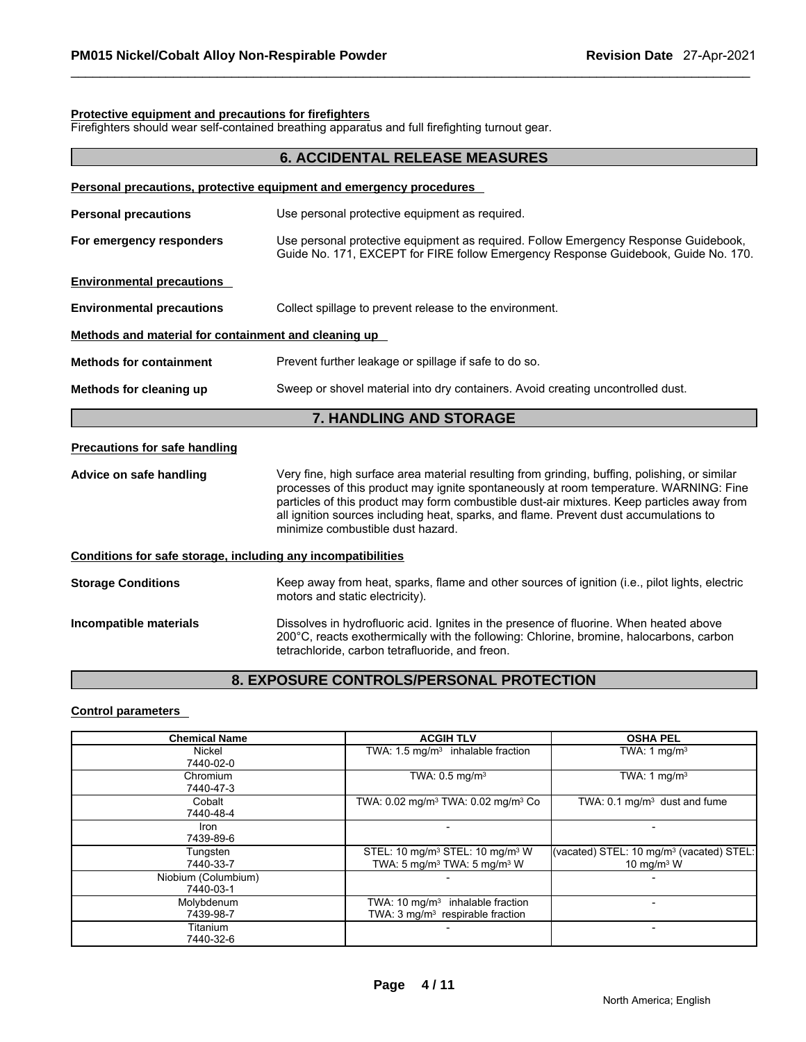#### **Protective equipment and precautions for firefighters**

Firefighters should wear self-contained breathing apparatus and full firefighting turnout gear.

| <b>6. ACCIDENTAL RELEASE MEASURES</b>                        |                                                                                                                                                                                                                                                                                                                                                                                                                    |  |  |
|--------------------------------------------------------------|--------------------------------------------------------------------------------------------------------------------------------------------------------------------------------------------------------------------------------------------------------------------------------------------------------------------------------------------------------------------------------------------------------------------|--|--|
|                                                              | Personal precautions, protective equipment and emergency procedures                                                                                                                                                                                                                                                                                                                                                |  |  |
| <b>Personal precautions</b>                                  | Use personal protective equipment as required.                                                                                                                                                                                                                                                                                                                                                                     |  |  |
| For emergency responders                                     | Use personal protective equipment as required. Follow Emergency Response Guidebook,<br>Guide No. 171, EXCEPT for FIRE follow Emergency Response Guidebook, Guide No. 170.                                                                                                                                                                                                                                          |  |  |
| <b>Environmental precautions</b>                             |                                                                                                                                                                                                                                                                                                                                                                                                                    |  |  |
| <b>Environmental precautions</b>                             | Collect spillage to prevent release to the environment.                                                                                                                                                                                                                                                                                                                                                            |  |  |
| Methods and material for containment and cleaning up         |                                                                                                                                                                                                                                                                                                                                                                                                                    |  |  |
| <b>Methods for containment</b>                               | Prevent further leakage or spillage if safe to do so.                                                                                                                                                                                                                                                                                                                                                              |  |  |
| Methods for cleaning up                                      | Sweep or shovel material into dry containers. Avoid creating uncontrolled dust.                                                                                                                                                                                                                                                                                                                                    |  |  |
|                                                              | 7. HANDLING AND STORAGE                                                                                                                                                                                                                                                                                                                                                                                            |  |  |
| <b>Precautions for safe handling</b>                         |                                                                                                                                                                                                                                                                                                                                                                                                                    |  |  |
| Advice on safe handling                                      | Very fine, high surface area material resulting from grinding, buffing, polishing, or similar<br>processes of this product may ignite spontaneously at room temperature. WARNING: Fine<br>particles of this product may form combustible dust-air mixtures. Keep particles away from<br>all ignition sources including heat, sparks, and flame. Prevent dust accumulations to<br>minimize combustible dust hazard. |  |  |
| Conditions for safe storage, including any incompatibilities |                                                                                                                                                                                                                                                                                                                                                                                                                    |  |  |
| <b>Storage Conditions</b>                                    | Keep away from heat, sparks, flame and other sources of ignition (i.e., pilot lights, electric<br>motors and static electricity).                                                                                                                                                                                                                                                                                  |  |  |
| Incompatible materials                                       | Dissolves in hydrofluoric acid. Ignites in the presence of fluorine. When heated above<br>200°C, reacts exothermically with the following: Chlorine, bromine, halocarbons, carbon<br>tetrachloride, carbon tetrafluoride, and freon.                                                                                                                                                                               |  |  |

# **8. EXPOSURE CONTROLS/PERSONAL PROTECTION**

### **Control parameters**

| <b>Chemical Name</b> | <b>ACGIH TLV</b>                                           | <b>OSHA PEL</b>                                      |
|----------------------|------------------------------------------------------------|------------------------------------------------------|
| Nickel               | TWA: $1.5 \text{ mg/m}^3$ inhalable fraction               | TWA: 1 $mq/m3$                                       |
| 7440-02-0            |                                                            |                                                      |
| Chromium             | TWA: $0.5 \text{ mg/m}^3$                                  | TWA: 1 $mq/m3$                                       |
| 7440-47-3            |                                                            |                                                      |
| Cobalt               | TWA: 0.02 mg/m <sup>3</sup> TWA: 0.02 mg/m <sup>3</sup> Co | TWA: $0.1 \text{ mg/m}^3$ dust and fume              |
| 7440-48-4            |                                                            |                                                      |
| Iron                 |                                                            |                                                      |
| 7439-89-6            |                                                            |                                                      |
| Tungsten             | STEL: 10 mg/m <sup>3</sup> STEL: 10 mg/m <sup>3</sup> W    | (vacated) STEL: 10 mg/m <sup>3</sup> (vacated) STEL: |
| 7440-33-7            | TWA: 5 mg/m <sup>3</sup> TWA: 5 mg/m <sup>3</sup> W        | 10 mg/m $3$ W                                        |
| Niobium (Columbium)  |                                                            |                                                      |
| 7440-03-1            |                                                            |                                                      |
| Molybdenum           | TWA: $10 \text{ mg/m}^3$ inhalable fraction                |                                                      |
| 7439-98-7            | TWA: 3 mg/m <sup>3</sup> respirable fraction               |                                                      |
| Titanium             |                                                            |                                                      |
| 7440-32-6            |                                                            |                                                      |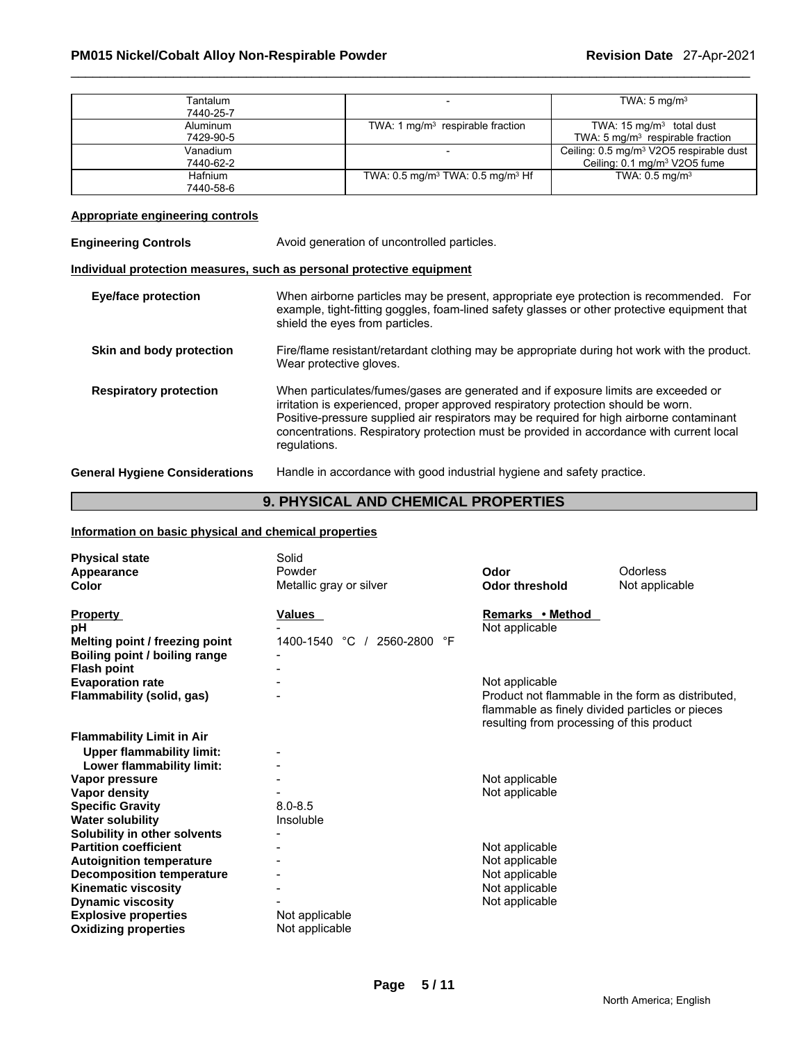| Tantalum       |                                                        | TWA: $5 \text{ mg/m}^3$                             |
|----------------|--------------------------------------------------------|-----------------------------------------------------|
| 7440-25-7      |                                                        |                                                     |
| Aluminum       | TWA: 1 $mq/m3$ respirable fraction                     | TWA: $15 \text{ mg/m}^3$ total dust                 |
| 7429-90-5      |                                                        | TWA: $5 \text{ mg/m}^3$ respirable fraction         |
| Vanadium       |                                                        | Ceiling: 0.5 mg/m <sup>3</sup> V2O5 respirable dust |
| 7440-62-2      |                                                        | Ceiling: 0.1 mg/m <sup>3</sup> V2O5 fume            |
| <b>Hafnium</b> | TWA: $0.5 \text{ mg/m}^3$ TWA: $0.5 \text{ mg/m}^3$ Hf | TWA: $0.5 \text{ mg/m}^3$                           |
| 7440-58-6      |                                                        |                                                     |

# **Appropriate engineering controls**

| <b>Engineering Controls</b>           | Avoid generation of uncontrolled particles.                                                                                                                                                                                                                                                                                                                                     |  |  |  |  |
|---------------------------------------|---------------------------------------------------------------------------------------------------------------------------------------------------------------------------------------------------------------------------------------------------------------------------------------------------------------------------------------------------------------------------------|--|--|--|--|
|                                       | Individual protection measures, such as personal protective equipment                                                                                                                                                                                                                                                                                                           |  |  |  |  |
| <b>Eye/face protection</b>            | When airborne particles may be present, appropriate eye protection is recommended. For<br>example, tight-fitting goggles, foam-lined safety glasses or other protective equipment that<br>shield the eyes from particles.                                                                                                                                                       |  |  |  |  |
| Skin and body protection              | Fire/flame resistant/retardant clothing may be appropriate during hot work with the product.<br>Wear protective gloves.                                                                                                                                                                                                                                                         |  |  |  |  |
| <b>Respiratory protection</b>         | When particulates/fumes/gases are generated and if exposure limits are exceeded or<br>irritation is experienced, proper approved respiratory protection should be worn.<br>Positive-pressure supplied air respirators may be required for high airborne contaminant<br>concentrations. Respiratory protection must be provided in accordance with current local<br>regulations. |  |  |  |  |
| <b>General Hygiene Considerations</b> | Handle in accordance with good industrial hygiene and safety practice.                                                                                                                                                                                                                                                                                                          |  |  |  |  |

# **9. PHYSICAL AND CHEMICAL PROPERTIES**

#### **Information on basic physical and chemical properties**

| <b>Physical state</b><br>Appearance<br>Color            | Solid<br>Powder<br>Metallic gray or silver      | Odor<br><b>Odor threshold</b>                                                                                                                     | Odorless<br>Not applicable |
|---------------------------------------------------------|-------------------------------------------------|---------------------------------------------------------------------------------------------------------------------------------------------------|----------------------------|
|                                                         |                                                 |                                                                                                                                                   |                            |
| <b>Property</b><br>рH<br>Melting point / freezing point | <b>Values</b><br>1400-1540 °C /<br>2560-2800 °F | Remarks • Method<br>Not applicable                                                                                                                |                            |
| Boiling point / boiling range                           |                                                 |                                                                                                                                                   |                            |
| <b>Flash point</b>                                      |                                                 |                                                                                                                                                   |                            |
| <b>Evaporation rate</b>                                 |                                                 | Not applicable                                                                                                                                    |                            |
| Flammability (solid, gas)                               |                                                 | Product not flammable in the form as distributed.<br>flammable as finely divided particles or pieces<br>resulting from processing of this product |                            |
| <b>Flammability Limit in Air</b>                        |                                                 |                                                                                                                                                   |                            |
| <b>Upper flammability limit:</b>                        |                                                 |                                                                                                                                                   |                            |
| Lower flammability limit:                               |                                                 |                                                                                                                                                   |                            |
| Vapor pressure                                          |                                                 | Not applicable                                                                                                                                    |                            |
| Vapor density                                           |                                                 | Not applicable                                                                                                                                    |                            |
| <b>Specific Gravity</b>                                 | $8.0 - 8.5$                                     |                                                                                                                                                   |                            |
| <b>Water solubility</b>                                 | Insoluble                                       |                                                                                                                                                   |                            |
| Solubility in other solvents                            |                                                 |                                                                                                                                                   |                            |
| <b>Partition coefficient</b>                            |                                                 | Not applicable                                                                                                                                    |                            |
| <b>Autoignition temperature</b>                         |                                                 | Not applicable                                                                                                                                    |                            |
| <b>Decomposition temperature</b>                        |                                                 | Not applicable                                                                                                                                    |                            |
| <b>Kinematic viscosity</b>                              |                                                 | Not applicable                                                                                                                                    |                            |
| <b>Dynamic viscosity</b>                                |                                                 | Not applicable                                                                                                                                    |                            |
| <b>Explosive properties</b>                             | Not applicable                                  |                                                                                                                                                   |                            |
| <b>Oxidizing properties</b>                             | Not applicable                                  |                                                                                                                                                   |                            |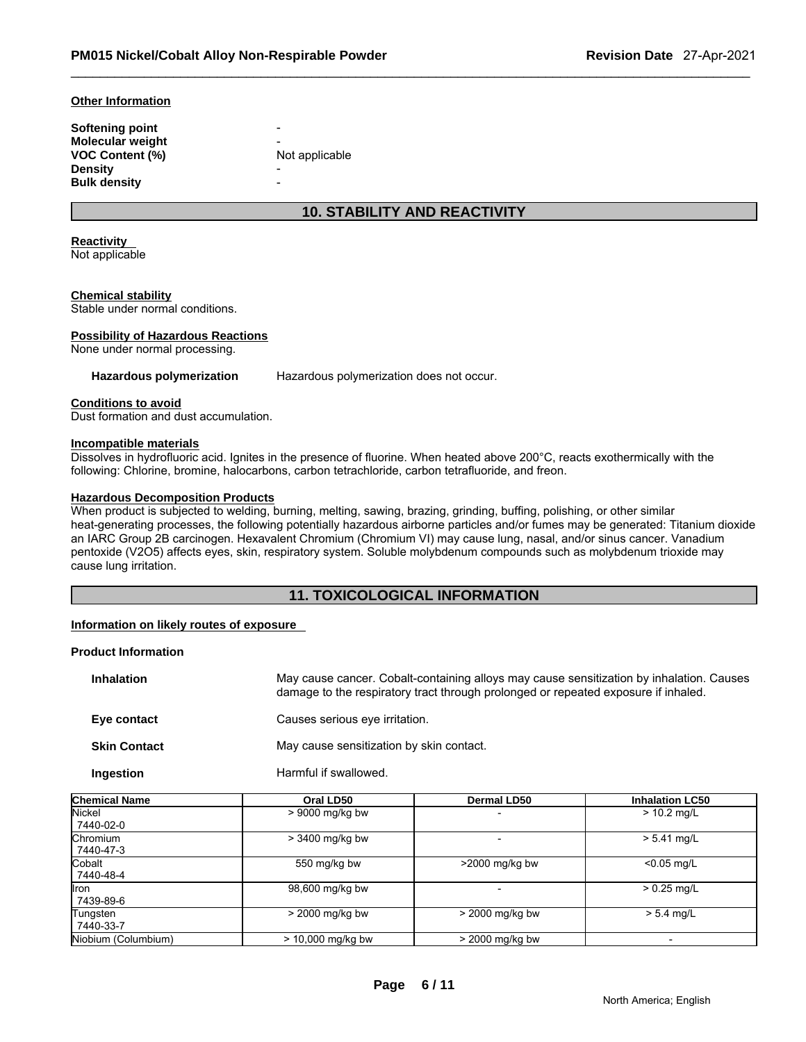#### **Other Information**

| Softening point         | $\overline{\phantom{0}}$ |
|-------------------------|--------------------------|
| <b>Molecular weight</b> |                          |
| <b>VOC Content (%)</b>  | Not applicable           |
| <b>Density</b>          |                          |
| <b>Bulk density</b>     |                          |

# **10. STABILITY AND REACTIVITY**

#### **Reactivity**

Not applicable

#### **Chemical stability**

Stable under normal conditions.

#### **Possibility of Hazardous Reactions**

None under normal processing.

**Hazardous polymerization** Hazardous polymerization does not occur.

#### **Conditions to avoid**

Dust formation and dust accumulation.

#### **Incompatible materials**

Dissolves in hydrofluoric acid. Ignites in the presence of fluorine. When heated above 200°C, reacts exothermically with the following: Chlorine, bromine, halocarbons, carbon tetrachloride, carbon tetrafluoride, and freon.

#### **Hazardous Decomposition Products**

When product is subjected to welding, burning, melting, sawing, brazing, grinding, buffing, polishing, or other similar heat-generating processes, the following potentially hazardous airborne particles and/or fumes may be generated: Titanium dioxide an IARC Group 2B carcinogen. Hexavalent Chromium (Chromium VI) may cause lung, nasal, and/or sinus cancer. Vanadium pentoxide (V2O5) affects eyes, skin, respiratory system. Soluble molybdenum compounds such as molybdenum trioxide may cause lung irritation.

# **11. TOXICOLOGICAL INFORMATION**

#### **Information on likely routes of exposure**

#### **Product Information**

| <b>Inhalation</b>   | May cause cancer. Cobalt-containing alloys may cause sensitization by inhalation. Causes<br>damage to the respiratory tract through prolonged or repeated exposure if inhaled. |
|---------------------|--------------------------------------------------------------------------------------------------------------------------------------------------------------------------------|
| Eye contact         | Causes serious eye irritation.                                                                                                                                                 |
| <b>Skin Contact</b> | May cause sensitization by skin contact.                                                                                                                                       |
| Ingestion           | Harmful if swallowed.                                                                                                                                                          |

| <b>Chemical Name</b>  | Oral LD50           | <b>Dermal LD50</b> | <b>Inhalation LC50</b> |
|-----------------------|---------------------|--------------------|------------------------|
| Nickel<br>7440-02-0   | $> 9000$ mg/kg bw   |                    | $> 10.2$ mg/L          |
| Chromium<br>7440-47-3 | $>$ 3400 mg/kg bw   |                    | $> 5.41$ mg/L          |
| lCobalt<br>7440-48-4  | 550 mg/kg bw        | >2000 mg/kg bw     | $< 0.05$ mg/L          |
| Ilron<br>7439-89-6    | 98,600 mg/kg bw     |                    | $> 0.25$ mg/L          |
| Tungsten<br>7440-33-7 | $>$ 2000 mg/kg bw   | > 2000 mg/kg bw    | $> 5.4$ mg/L           |
| Niobium (Columbium)   | $>$ 10,000 mg/kg bw | > 2000 mg/kg bw    |                        |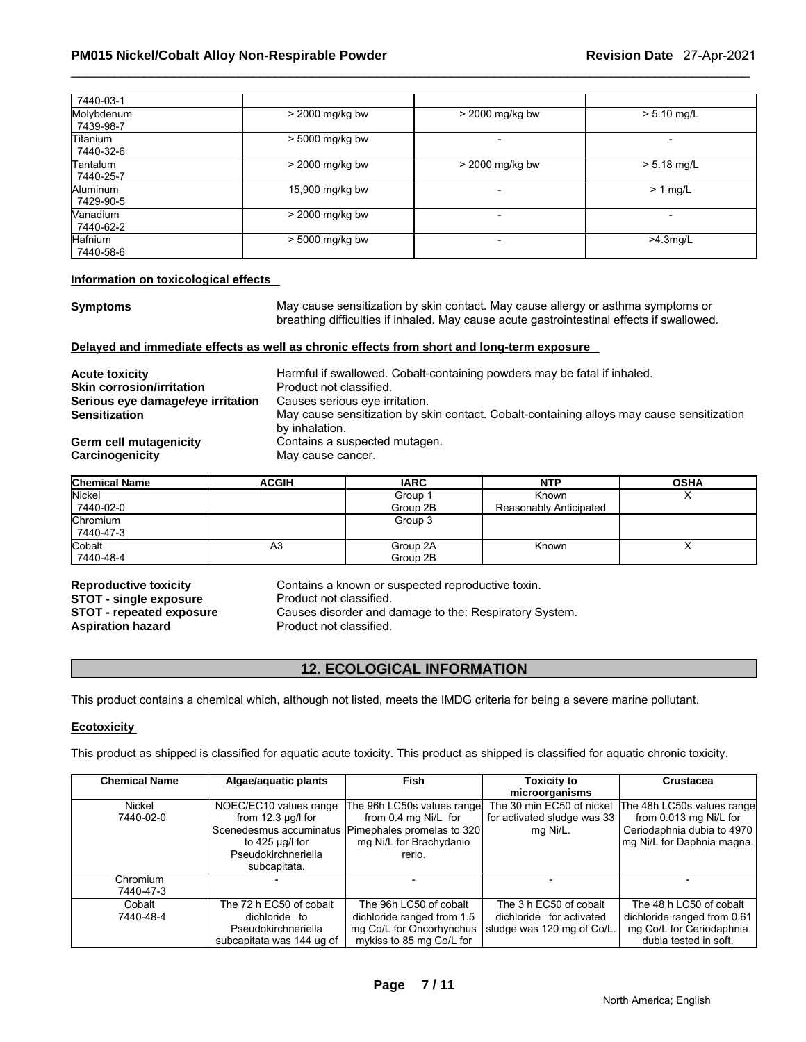| 7440-03-1                    |                   |                          |               |
|------------------------------|-------------------|--------------------------|---------------|
| Molybdenum<br>7439-98-7      | > 2000 mg/kg bw   | > 2000 mg/kg bw          | $> 5.10$ mg/L |
| <b>Titanium</b><br>7440-32-6 | > 5000 mg/kg bw   |                          |               |
| Tantalum<br>7440-25-7        | $>$ 2000 mg/kg bw | > 2000 mg/kg bw          | $> 5.18$ mg/L |
| Aluminum<br>7429-90-5        | 15,900 mg/kg bw   |                          | $> 1$ mg/L    |
| <b>Nanadium</b><br>7440-62-2 | > 2000 mg/kg bw   |                          |               |
| <b>Hafnium</b><br>7440-58-6  | > 5000 mg/kg bw   | $\overline{\phantom{a}}$ | $>4.3$ mg/L   |

#### **Information on toxicological effects**

**Symptoms** May cause sensitization by skin contact. May cause allergy or asthma symptoms or breathing difficulties if inhaled. May cause acute gastrointestinal effects if swallowed.

#### **Delayed and immediate effects as well as chronic effects from short and long-term exposure**

| <b>Acute toxicity</b>             | Harmful if swallowed. Cobalt-containing powders may be fatal if inhaled.                                    |
|-----------------------------------|-------------------------------------------------------------------------------------------------------------|
| <b>Skin corrosion/irritation</b>  | Product not classified.                                                                                     |
| Serious eye damage/eye irritation | Causes serious eye irritation.                                                                              |
| <b>Sensitization</b>              | May cause sensitization by skin contact. Cobalt-containing alloys may cause sensitization<br>by inhalation. |
| Germ cell mutagenicity            | Contains a suspected mutagen.                                                                               |
| Carcinogenicity                   | May cause cancer.                                                                                           |

| <b>Chemical Name</b> | <b>ACGIH</b> | <b>IARC</b> | <b>NTP</b>             | <b>OSHA</b> |
|----------------------|--------------|-------------|------------------------|-------------|
| Nickel               |              | Group 1     | Known                  |             |
| 7440-02-0            |              | Group 2B    | Reasonably Anticipated |             |
| <b>Chromium</b>      |              | Group 3     |                        |             |
| 7440-47-3            |              |             |                        |             |
| Cobalt               | A3           | Group 2A    | Known                  |             |
| 7440-48-4            |              | Group 2B    |                        |             |

**STOT - single exposure<br><b>STOT - repeated exposure** 

**Reproductive toxicity** Contains a known or suspected reproductive toxin.<br>**STOT - single exposure** Product not classified. **STOT - repeated exposure Causes disorder and damage to the: Respiratory System.**<br>**Aspiration hazard Product not classified.** Product not classified.

# **12. ECOLOGICAL INFORMATION**

This product contains a chemical which, although not listed, meets the IMDG criteria for being a severe marine pollutant.

#### **Ecotoxicity**

This product as shipped is classified for aquatic acute toxicity. This product as shipped is classified for aquatic chronic toxicity.

| <b>Chemical Name</b>  | Algae/aquatic plants                                                                         | <b>Fish</b>                                                                                                  | <b>Toxicity to</b>                                                               | <b>Crustacea</b>                                                                                            |
|-----------------------|----------------------------------------------------------------------------------------------|--------------------------------------------------------------------------------------------------------------|----------------------------------------------------------------------------------|-------------------------------------------------------------------------------------------------------------|
|                       |                                                                                              |                                                                                                              | microorganisms                                                                   |                                                                                                             |
| Nickel<br>7440-02-0   | NOEC/EC10 values range<br>from $12.3 \mu g/l$ for                                            | The 96h LC50s values range<br>from 0.4 mg Ni/L for                                                           | The 30 min EC50 of nickel<br>for activated sludge was 33                         | The 48h LC50s values range<br>from 0.013 mg Ni/L for                                                        |
|                       | to 425 $\mu$ g/l for<br>Pseudokirchneriella<br>subcapitata.                                  | Scenedesmus accuminatus Pimephales promelas to 320<br>mg Ni/L for Brachydanio<br>rerio.                      | mg Ni/L.                                                                         | Ceriodaphnia dubia to 4970<br>mg Ni/L for Daphnia magna.                                                    |
| Chromium<br>7440-47-3 |                                                                                              |                                                                                                              |                                                                                  |                                                                                                             |
| Cobalt<br>7440-48-4   | The 72 h EC50 of cobalt<br>dichloride to<br>Pseudokirchneriella<br>subcapitata was 144 ug of | The 96h LC50 of cobalt<br>dichloride ranged from 1.5<br>mg Co/L for Oncorhynchus<br>mykiss to 85 mg Co/L for | The 3 h EC50 of cobalt<br>dichloride for activated<br>sludge was 120 mg of Co/L. | The 48 h LC50 of cobalt<br>dichloride ranged from 0.61<br>mg Co/L for Ceriodaphnia<br>dubia tested in soft. |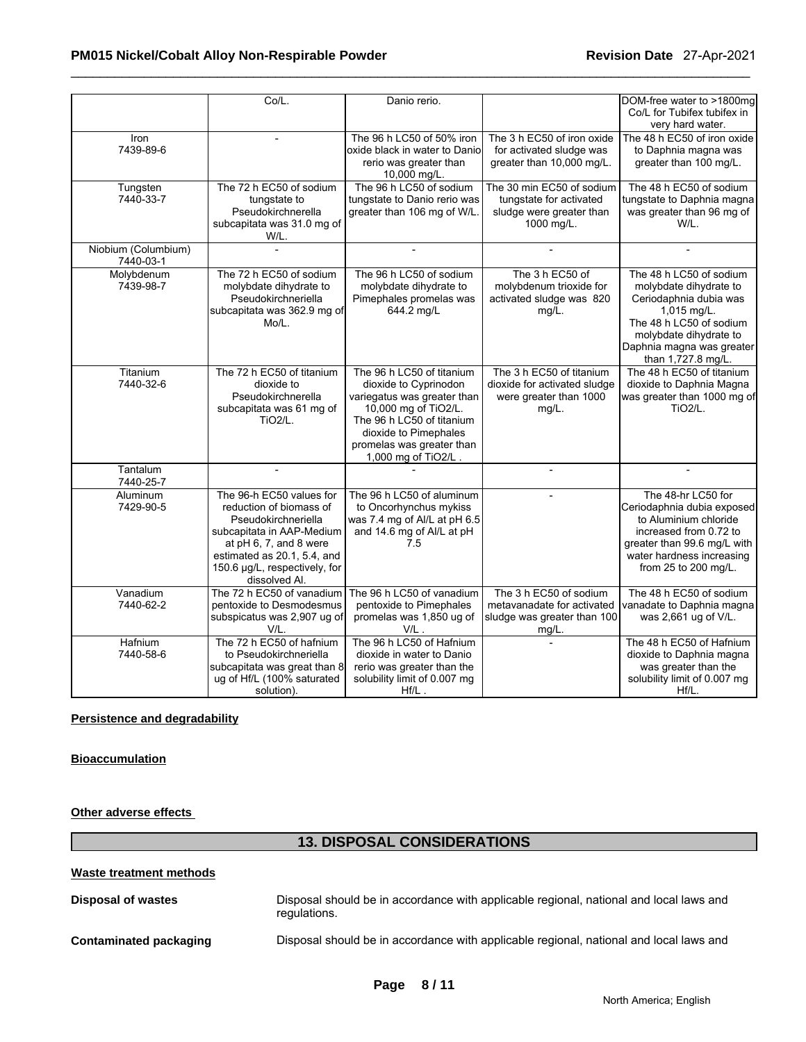|                      | Co/L.                               | Danio rerio.                        |                              | DOM-free water to >1800mg    |
|----------------------|-------------------------------------|-------------------------------------|------------------------------|------------------------------|
|                      |                                     |                                     |                              | Co/L for Tubifex tubifex in  |
|                      |                                     |                                     |                              | very hard water.             |
| Iron                 |                                     | The 96 h LC50 of 50% iron           | The 3 h EC50 of iron oxide   | The 48 h EC50 of iron oxide  |
| 7439-89-6            |                                     | oxide black in water to Danio       | for activated sludge was     | to Daphnia magna was         |
|                      |                                     | rerio was greater than              | greater than 10,000 mg/L.    | greater than 100 mg/L.       |
|                      |                                     | 10,000 mg/L.                        |                              |                              |
| Tungsten             | The 72 h EC50 of sodium             | The 96 h LC50 of sodium             | The 30 min EC50 of sodium    | The 48 h EC50 of sodium      |
| 7440-33-7            | tungstate to                        | tungstate to Danio rerio was        | tungstate for activated      | tungstate to Daphnia magna   |
|                      | Pseudokirchnerella                  | greater than 106 mg of W/L.         | sludge were greater than     | was greater than 96 mg of    |
|                      | subcapitata was 31.0 mg of          |                                     | 1000 mg/L.                   | W/L.                         |
|                      | W/L.                                |                                     |                              |                              |
| Niobium (Columbium)  |                                     |                                     |                              |                              |
| 7440-03-1            |                                     |                                     |                              |                              |
| Molybdenum           | The 72 h EC50 of sodium             | The 96 h LC50 of sodium             | The 3 h EC50 of              | The 48 h LC50 of sodium      |
| 7439-98-7            | molybdate dihydrate to              | molybdate dihydrate to              | molybdenum trioxide for      | molybdate dihydrate to       |
|                      | Pseudokirchneriella                 | Pimephales promelas was             | activated sludge was 820     | Ceriodaphnia dubia was       |
|                      | subcapitata was 362.9 mg of         | 644.2 mg/L                          | $mg/L$ .                     | 1,015 mg/L.                  |
|                      | Mo/L.                               |                                     |                              | The 48 h LC50 of sodium      |
|                      |                                     |                                     |                              | molybdate dihydrate to       |
|                      |                                     |                                     |                              | Daphnia magna was greater    |
|                      |                                     |                                     |                              | than 1,727.8 mg/L.           |
| Titanium             | The 72 h EC50 of titanium           | The 96 h LC50 of titanium           | The 3 h EC50 of titanium     | The 48 h EC50 of titanium    |
| 7440-32-6            | dioxide to                          | dioxide to Cyprinodon               | dioxide for activated sludge | dioxide to Daphnia Magna     |
|                      | Pseudokirchnerella                  | variegatus was greater than         | were greater than 1000       | was greater than 1000 mg of  |
|                      | subcapitata was 61 mg of            | 10,000 mg of TiO2/L.                | $mg/L$ .                     | <b>TiO2/L.</b>               |
|                      | <b>TiO2/L.</b>                      | The 96 h LC50 of titanium           |                              |                              |
|                      |                                     | dioxide to Pimephales               |                              |                              |
|                      |                                     | promelas was greater than           |                              |                              |
|                      |                                     | 1,000 mg of TiO2/L.                 |                              |                              |
| Tantalum             |                                     |                                     |                              |                              |
| 7440-25-7            |                                     |                                     |                              |                              |
| Aluminum             | The 96-h EC50 values for            | The 96 h LC50 of aluminum           |                              | The 48-hr LC50 for           |
| 7429-90-5            | reduction of biomass of             | to Oncorhynchus mykiss              |                              | Ceriodaphnia dubia exposed   |
|                      | Pseudokirchneriella                 | was 7.4 mg of Al/L at pH 6.5        |                              | to Aluminium chloride        |
|                      | subcapitata in AAP-Medium           | and 14.6 mg of Al/L at pH           |                              | increased from 0.72 to       |
|                      | at pH 6, 7, and 8 were              | 7.5                                 |                              | greater than 99.6 mg/L with  |
|                      | estimated as 20.1, 5.4, and         |                                     |                              | water hardness increasing    |
|                      | 150.6 µg/L, respectively, for       |                                     |                              | from 25 to 200 mg/L.         |
|                      | dissolved Al.                       |                                     |                              |                              |
| Vanadium             | The 72 h EC50 of vanadium           | The 96 h LC50 of vanadium           | The 3 h EC50 of sodium       | The 48 h EC50 of sodium      |
| 7440-62-2            | pentoxide to Desmodesmus            | pentoxide to Pimephales             | metavanadate for activated   | vanadate to Daphnia magna    |
|                      | subspicatus was 2,907 ug of<br>V/L. | promelas was 1,850 ug of<br>$V/L$ . | sludge was greater than 100  | was 2,661 ug of V/L.         |
|                      | The 72 h EC50 of hafnium            | The 96 h LC50 of Hafnium            | mg/L.                        | The 48 h EC50 of Hafnium     |
| Hafnium<br>7440-58-6 | to Pseudokirchneriella              | dioxide in water to Danio           |                              | dioxide to Daphnia magna     |
|                      | subcapitata was great than 8        | rerio was greater than the          |                              | was greater than the         |
|                      | ug of Hf/L (100% saturated          | solubility limit of 0.007 mg        |                              | solubility limit of 0.007 mg |
|                      | solution).                          | $Hf/L$ .                            |                              | Hf/L.                        |
|                      |                                     |                                     |                              |                              |

#### **Persistence and degradability**

### **Bioaccumulation**

**Other adverse effects** 

# **13. DISPOSAL CONSIDERATIONS**

**Disposal of wastes** Disposal should be in accordance with applicable regional, national and local laws and regulations.

**Contaminated packaging** Disposal should be in accordance with applicable regional, national and local laws and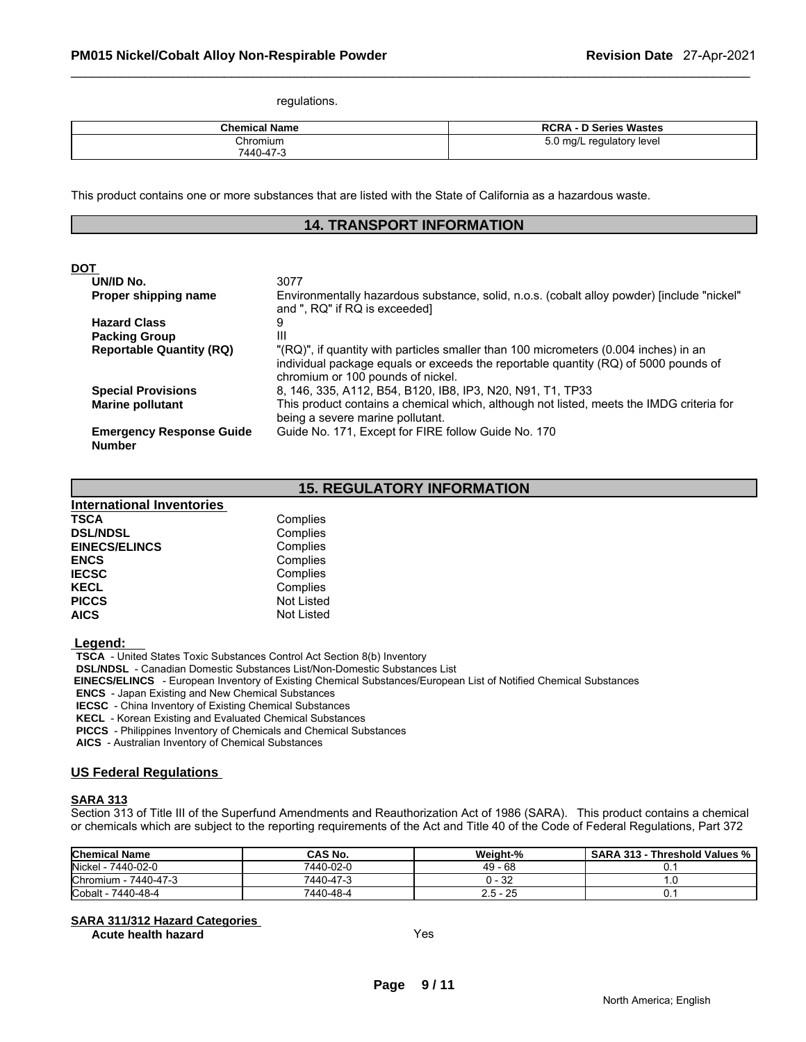regulations.

| <b>Chemical Name</b> | <b>RCRA - D Series Wastes</b> |
|----------------------|-------------------------------|
| Chromium             | 5.0 mg/L regulatory level     |
| 7440-47-3            |                               |

This product contains one or more substances that are listed with the State of California as a hazardous waste.

# **14. TRANSPORT INFORMATION**

#### **DOT**

| . .                                              |                                                                                                                              |
|--------------------------------------------------|------------------------------------------------------------------------------------------------------------------------------|
| UN/ID No.                                        | 3077                                                                                                                         |
| Proper shipping name                             | Environmentally hazardous substance, solid, n.o.s. (cobalt alloy powder) [include "nickel"<br>and ", RQ" if RQ is exceeded]  |
| <b>Hazard Class</b>                              | 9                                                                                                                            |
| <b>Packing Group</b>                             | Ш                                                                                                                            |
| <b>Reportable Quantity (RQ)</b>                  | "(RQ)", if quantity with particles smaller than 100 micrometers (0.004 inches) in an                                         |
|                                                  | individual package equals or exceeds the reportable quantity (RQ) of 5000 pounds of<br>chromium or 100 pounds of nickel.     |
| <b>Special Provisions</b>                        | 8, 146, 335, A112, B54, B120, IB8, IP3, N20, N91, T1, TP33                                                                   |
| <b>Marine pollutant</b>                          | This product contains a chemical which, although not listed, meets the IMDG criteria for<br>being a severe marine pollutant. |
| <b>Emergency Response Guide</b><br><b>Number</b> | Guide No. 171, Except for FIRE follow Guide No. 170                                                                          |

# **15. REGULATORY INFORMATION**

| <b>International Inventories</b> |                   |  |
|----------------------------------|-------------------|--|
| <b>TSCA</b>                      | Complies          |  |
| <b>DSL/NDSL</b>                  | Complies          |  |
| <b>EINECS/ELINCS</b>             | Complies          |  |
| <b>ENCS</b>                      | Complies          |  |
| <b>IECSC</b>                     | Complies          |  |
| <b>KECL</b>                      | Complies          |  |
| <b>PICCS</b>                     | Not Listed        |  |
| <b>AICS</b>                      | <b>Not Listed</b> |  |

 **Legend:** 

 **TSCA** - United States Toxic Substances Control Act Section 8(b) Inventory

 **DSL/NDSL** - Canadian Domestic Substances List/Non-Domestic Substances List

 **EINECS/ELINCS** - European Inventory of Existing Chemical Substances/European List of Notified Chemical Substances

 **ENCS** - Japan Existing and New Chemical Substances

 **IECSC** - China Inventory of Existing Chemical Substances

 **KECL** - Korean Existing and Evaluated Chemical Substances

 **PICCS** - Philippines Inventory of Chemicals and Chemical Substances

 **AICS** - Australian Inventory of Chemical Substances

#### **US Federal Regulations**

#### **SARA 313**

Section 313 of Title III of the Superfund Amendments and Reauthorization Act of 1986 (SARA). This product contains a chemical or chemicals which are subject to the reporting requirements of the Act and Title 40 of the Code of Federal Regulations, Part 372

| <b>Chemical Name</b>    | CAS No.   | Weiaht-%  | <b>SARA 313 -</b><br>⋅ Threshold Values % |
|-------------------------|-----------|-----------|-------------------------------------------|
| Nickel -<br>7440-02-0   | 7440-02-0 | $49 - 68$ |                                           |
| Chromium -<br>7440-47-3 | 7440-47-3 | ) - 32    |                                           |
| Cobalt -<br>7440-48-4   | 7440-48-4 | 2.5 - 25  | v.                                        |

#### **SARA 311/312 Hazard Categories**

**Acute health hazard** Yes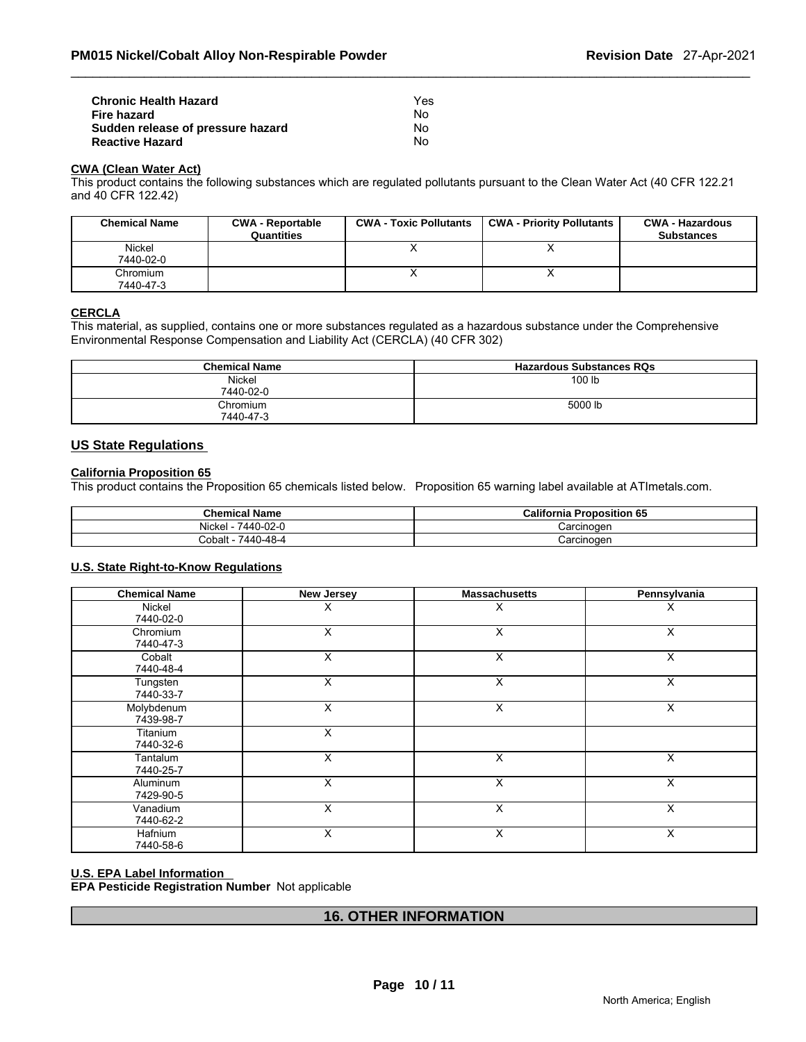| <b>Chronic Health Hazard</b>      | Yes |
|-----------------------------------|-----|
| Fire hazard                       | N٥  |
| Sudden release of pressure hazard | Nο  |
| <b>Reactive Hazard</b>            | N٥  |

#### **CWA (Clean Water Act)**

This product contains the following substances which are regulated pollutants pursuant to the Clean Water Act (40 CFR 122.21 and 40 CFR 122.42)

| <b>Chemical Name</b> | <b>CWA - Reportable</b><br>Quantities | <b>CWA - Toxic Pollutants</b> | <b>CWA - Priority Pollutants</b> | <b>CWA - Hazardous</b><br><b>Substances</b> |
|----------------------|---------------------------------------|-------------------------------|----------------------------------|---------------------------------------------|
| <b>Nickel</b>        |                                       |                               |                                  |                                             |
| 7440-02-0            |                                       |                               |                                  |                                             |
| Chromium             |                                       |                               |                                  |                                             |
| 7440-47-3            |                                       |                               |                                  |                                             |

#### **CERCLA**

This material, as supplied, contains one or more substances regulated as a hazardous substance under the Comprehensive Environmental Response Compensation and Liability Act (CERCLA) (40 CFR 302)

| <b>Chemical Name</b>  | <b>Hazardous Substances RQs</b> |
|-----------------------|---------------------------------|
| Nickel<br>7440-02-0   | 100 lb                          |
| Chromium<br>7440-47-3 | 5000 lb                         |

#### **US State Regulations**

#### **California Proposition 65**

This product contains the Proposition 65 chemicals listed below. Proposition 65 warning label available at ATImetals.com.

| <b>Chemical Name</b> | <b>California Proposition 65</b> |
|----------------------|----------------------------------|
| Nickel<br>7440-02-0  | Carcinoɑen                       |
| 7440-48-4<br>Cobalt⊹ | Carcinoɑen                       |

#### **U.S. State Right-to-Know Regulations**

| <b>Chemical Name</b>    | <b>New Jersey</b> | <b>Massachusetts</b> | Pennsylvania |
|-------------------------|-------------------|----------------------|--------------|
| Nickel<br>7440-02-0     | X                 | X                    | X            |
| Chromium<br>7440-47-3   | X                 | X                    | X            |
| Cobalt<br>7440-48-4     | X                 | X                    | X            |
| Tungsten<br>7440-33-7   | X                 | X                    | X            |
| Molybdenum<br>7439-98-7 | X                 | X                    | X            |
| Titanium<br>7440-32-6   | X                 |                      |              |
| Tantalum<br>7440-25-7   | X                 | X                    | X            |
| Aluminum<br>7429-90-5   | X                 | X                    | X            |
| Vanadium<br>7440-62-2   | X                 | X                    | X            |
| Hafnium<br>7440-58-6    | X                 | X                    | X            |

#### **U.S. EPA Label Information**

**EPA Pesticide Registration Number** Not applicable

# **16. OTHER INFORMATION**